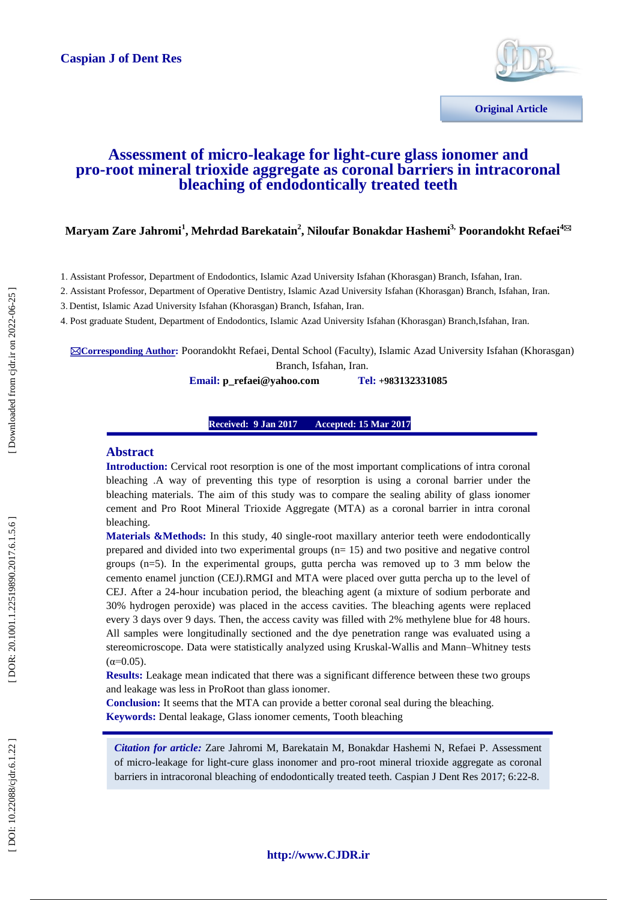

# **Assessment of micro -leakage for light -cure glass ionomer and pro -root mineral trioxide aggregate as coronal barriers in intracoronal bleaching of endodontically treated teeth**

## $\bm{\mathrm{Maryam\ Zare\ Jahromi}}^1$ ,  $\bm{\mathrm{Mehrdad\ Barekatan^2}}$ ,  $\bm{\mathrm{Niloufar\ Bonakdar\ Hashemi}}^3$ ,  $\bm{\mathrm{Poorandokht\ Refaei}}^{4\boxtimes 4}$

1 . Assistant Professor, Department of Endodontics, Islamic Azad University Isfahan (Khorasgan) Branch, Isfahan, Iran.

2 . Assistant Professor, Department of Operative Dentistry, Islamic Azad University Isfahan (Khorasgan) Branch, Isfahan, Iran.

3 . Dentist , Islamic Azad University Isfahan (Khorasgan) Branch, Isfahan, Iran.

4 . Post graduate Student, Department of Endodontics, Islamic Azad University Isfahan (Khorasgan) Branch, Isfahan, Iran.

**Corresponding Author :** Poorandokht Refaei, Dental School (Faculty), Islamic Azad University Isfahan (Khorasgan) Branch, Isfahan, Iran.

> **Email: p** refaei@yahoo.com **+983132331085**

#### **Received: 9 Jan 2017 Received: 9 Jan 2017 Accepted: 15 Mar 2017 Accepted: 15 Mar 2017**

#### **Abstract**

**Introduction:** Cervical root resorption is one of the most important complications of intra coronal bleaching .A way of preventing this type of resorption is using a coronal barrier under the bleaching materials. The aim of this study was to compare the sealing ability of glass ionomer cement and Pro Root Mineral Trioxide Aggregate (MTA) as a coronal barrier in intra coronal bleaching.

Materials &Methods: In this study, 40 single-root maxillary anterior teeth were endodontically prepared and divided into two experimental groups (n= 15) and two positive and negative control groups  $(n=5)$ . In the experimental groups, gutta percha was removed up to 3 mm below the cemento enamel junction (CEJ).RMGI and MTA were placed over gutta percha up to the level of CEJ. After a 24 -hour incubation period, the bleaching agent (a mixture of sodium perborate and 30% hydrogen peroxide) was placed in the access cavities. The bleaching agents were replaced every 3 days over 9 days. Then, the access cavity was filled with 2% methylene blue for 48 hours. All samples were longitudinally sectioned and the dye penetration range was evaluated using a stereomicroscope. Data were statistically analyzed using Kruskal -Wallis and Mann –Whitney tests  $(\alpha = 0.05)$ .

**Results:** Leakage mean indicated that there was a significant difference between these two groups and leakage was less in ProRoot than glass ionomer.

**Conclusion:** It seems that the MTA can provide a better coronal seal during the bleaching. **Keywords :** Dental leakage, Glass ionomer cements, Tooth bleaching

*Citation for article:* Zare Jahromi M, Barekatain M, Bonakdar Hashemi N, Refaei P. Assessment of micro-leakage for light-cure glass inonomer and pro-root mineral trioxide aggregate as coronal barriers in intracoronal bleaching of endodontically treated teeth. Caspian J Dent Res 2017; 6:22-8.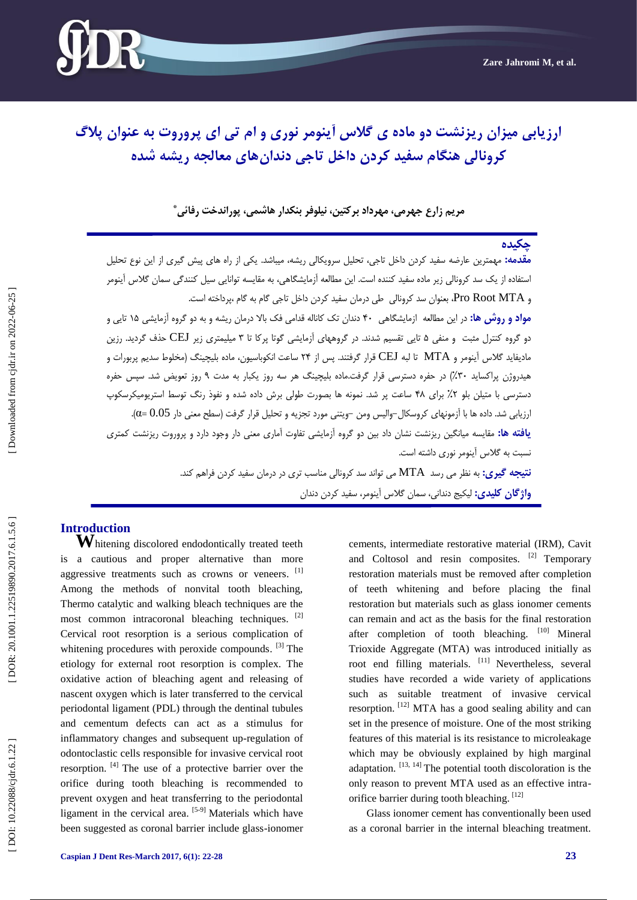

# ارزیابی میزان ریزنشت دو ماده ی گلاس آینومر نوری و ام تی ای پروروت به عنوان پلاگ کرونالی هنگام سفید کردن داخل تاجی دندان های معالجه ریشه شده

# مریم زارع جهرمی، مهرداد برکتین، نیلوفر بنکدار هاشمی، پوراندخت رفائ*ی* \*

# **چکیدُ**

**مقدمه:** مهمترین عارضه سفید کردن داخل تاجی، تحلیل سرویکالی ریشه، میباشد. یکی از راه های پیش گیری از این نوع تحلیل استفاده از یک سد کرونالی زیر ماده سفید کننده است. این مطالعه آزمایشگاهی، به مقایسه توانایی سیل کنندگی سمان گلاس آینومر و Pro Root MTA، بعنوان سد کرونالی طی درمان سفید کردن داخل تاجی گام به گام ،پرداخته است. <mark>مواد و روش ها:</mark> در این مطالعه ازمایشگاهی ۴۰ دندان تک کاناله قدامی فک بالا درمان ریشه و به دو گروه آزمایشی ۱۵ تایی و دو گروه کنترل مثبت و منفی ۵ تایی تقسیم شدند. در گروههای آزمایشی گوتا پرکا تا ۳ میلیمتری زیر CEJ حذف گردید. رزین مادیفاید گلاس آینومر و MTA تا لبه CEJ قرار گرفتند. پس از ۲۴ ساعت انکوباسیون، ماده بلیچینگ (مخلوط سدیم پربورات و هیدروژن پراکساید ۳۰٪) در حفره دسترسی قرار گرفت.ماده بلیچینگ هر سه روز یکبار به مدت ۹ روز تعویض شد. سپس حفره دسترسی با متیلن بلو ۲٪ برای ۴۸ ساعت پر شد. نمونه ها بصورت طولی برش داده شده و نفوذ رنگ توسط استریومیکرسکوپ . رزیابی شد. داده ها با آزمونهای کروسکال−والیس ومن −ویتنی مورد تجزیه و تحلیل قرار گرفت (سطح معنی دار 0.05) **یافته ها:** مقایسه میانگین ریزنشت نشان داد بین دو گروه ازمایشی تفاوت اماری معنی دار وجود دارد و پروروت ریزنشت کمتری نسبت بِه گلاس آینومر نوری داشته است. **نتیجِه گیری:** بِه نظر می رسد MTA می تواند سد کرونالی مناسب تری در درمان سفید کردن فراهم کند. **واژگان کلیدی:** لیکیج دندانی، سمان گلاس اینومر، سفید کردن دندان

**Introduction**<br>**W**hitening discolored endodontically treated teeth is a cautious and proper alternative than more aggressive treatments such as crowns or veneers. [1] Among the methods of nonvital tooth bleaching, Thermo catalytic and walking bleach techniques are the most common intracoronal bleaching techniques. <sup>[2]</sup> Cervical root resorption is a serious complication of whitening procedures with peroxide compounds. <sup>[3]</sup> The etiology for external root resorption is complex. The oxidative action of bleaching agent and releasing of nascent oxygen which is later transferred to the cervical periodontal ligament (PDL) through the dentinal tubules and cementum defects can act as a stimulus for inflammatory changes and subsequent up -regulation of odontoclastic cells responsible for invasive cervical root resorption. [4] The use of a protective barrier over the orifice during tooth bleaching is recommended to prevent oxygen and heat transferring to the periodontal ligament in the cervical area. [5-9] Materials which have been suggested as coronal barrier include glass -ionomer

cements, intermediate restorative material (IRM), Cavit and Coltosol and resin composites. [2] Temporary restoration materials must be removed after completion of teeth whitening and before placing the final restoration but materials such as glass ionomer cements can remain and act as the basis for the final restoration after completion of tooth bleaching. [10] Mineral Trioxide Aggregate (MTA) was introduced initially as root end filling materials. [11] Nevertheless, several studies have recorded a wide variety of applications such as suitable treatment of invasive cervical resorption. [12] MTA has a good sealing ability and can set in the presence of moisture. One of the most striking features of this material is its resistance to microleakage which may be obviously explained by high marginal adaptation.  $[13, 14]$  The potential tooth discoloration is the only reason to prevent MTA used as an effective intra orifice barrier during tooth bleaching. [12]

Glass ionomer cement has conventionally been used as a coronal barrier in the internal bleaching treatment.

DOI: 10.22088/cjdr.6.1.22]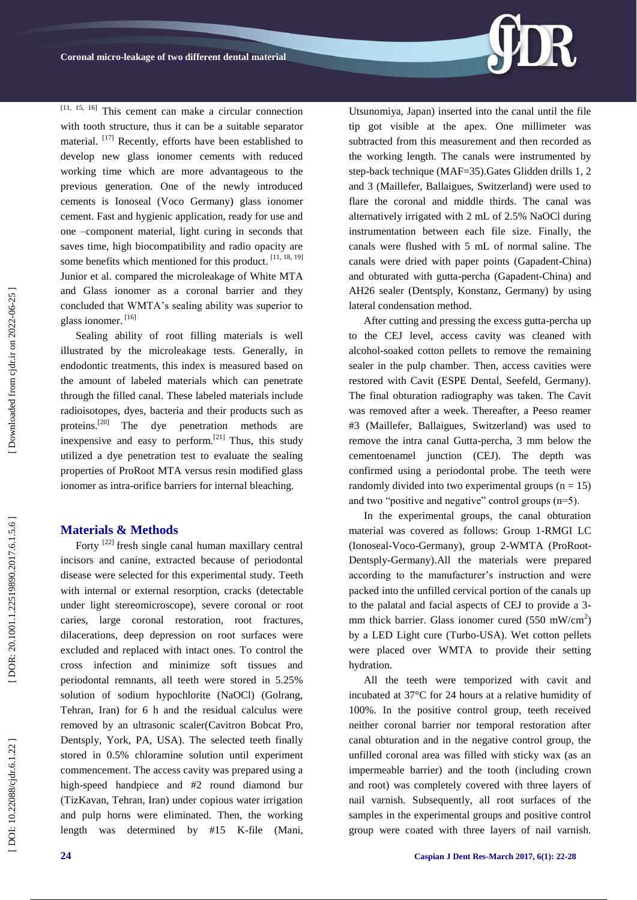[11, 15, 16] This cement can make a circular connection with tooth structure, thus it can be a suitable separator material. [17] Recently, efforts have been established to develop new glass ionomer cements with reduced working time which are more advantageous to the previous generation. One of the newly introduced cements is Ionoseal (Voco Germany) glass ionomer cement. Fast and hygienic application, ready for use and one –component material, light curing in seconds that saves time, high biocompatibility and radio opacity are some benefits which mentioned for this product. [11, 18, 19] Junior et al. compared the microleakage of White MTA and Glass ionomer as a coronal barrier and they concluded that WMTA's sealing ability was superior to glass ionomer. [16]

Sealing ability of root filling materials is well illustrated by the microleakage tests. Generally, in endodontic treatments, this index is measured based on the amount of labeled materials which can penetrate through the filled canal. These labeled materials include radioisotopes, dyes, bacteria and their products such as proteins.[20] The dye penetration methods are inexpensive and easy to perform.<sup>[21]</sup> Thus, this study utilized a dye penetration test to evaluate the sealing properties of ProRoot MTA versus resin modified glass ionomer as intra -orifice barriers for internal bleaching.

### **Materials & Method s**

Forty [22] fresh single canal human maxillary central incisors and canine, extracted because of periodontal disease were selected for this experimental study. Teeth with internal or external resorption, cracks (detectable under light stereomicroscope), severe coronal or root caries, large coronal restoration, root fractures, dilacerations, deep depression on root surfaces were excluded and replaced with intact ones. To control the cross infection and minimize soft tissues and periodontal remnants, all teeth were stored in 5.25% solution of sodium hypochlorite (NaOCl) (Golrang, Tehran, Iran) for 6 h and the residual calculus were removed by an ultrasonic scaler(Cavitron Bobcat Pro, Dentsply, York, PA, USA). The selected teeth finally stored in 0.5% chloramine solution until experiment commencement. The access cavity was prepared using a high -speed handpiece and #2 round diamond bur (TizKavan, Tehran, Iran) under copious water irrigation and pulp horns were eliminated. Then, the working length was determined by #15 K -file (Mani, Utsunomiya, Japan) inserted into the canal until the file tip got visible at the apex. One millimeter was subtracted from this measurement and then recorded as the working length. The canals were instrumented by step -back technique (MAF=35).Gates Glidden drills 1, 2 and 3 (Maillefer, Ballaigues, Switzerland) were used to flare the coronal and middle thirds. The canal was alternatively irrigated with 2 mL of 2.5% NaOCl during instrumentation between each file size. Finally, the canals were flushed with 5 mL of normal saline. The canals were dried with paper points (Gapadent -China) and obturated with gutta -percha (Gapadent -China) and AH26 sealer (Dentsply, Konstanz, Germany) by using lateral condensation method.

After cutting and pressing the excess gutta -percha up to the CEJ level, access cavity was cleaned with alcohol -soaked cotton pellets to remove the remaining sealer in the pulp chamber. Then, access cavities were restored with Cavit (ESPE Dental, Seefeld, Germany). The final obturation radiography was taken. The Cavit was removed after a week. Thereafter, a Peeso reamer #3 (Maillefer, Ballaigues, Switzerland) was used to remove the intra canal Gutta -percha, 3 mm below the cementoenamel junction (CEJ). The depth was confirmed using a periodontal probe. The teeth were randomly divided into two experimental groups  $(n = 15)$ and two "positive and negative" control groups  $(n=5)$ .

In the experimental groups, the canal obturation material was covered as follows: Group 1 -RMGI LC (Ionoseal -Voco -Germany), group 2 -WMTA (ProRoot - Dentsply -Germany).All the materials were prepared according to the manufacturer's instruction and were packed into the unfilled cervical portion of the canals up to the palatal and facial aspects of CEJ to provide a 3 mm thick barrier. Glass ionomer cured  $(550 \text{ mW/cm}^2)$ by a LED Light cure (Turbo -USA). Wet cotton pellets were placed over WMTA to provide their setting hydration.

All the teeth were temporized with cavit and incubated at 37°C for 24 hours at a relative humidity of 100%. In the positive control group, teeth received neither coronal barrier nor temporal restoration after canal obturation and in the negative control group, the unfilled coronal area was filled with sticky wax (as an impermeable barrier) and the tooth (including crown and root) was completely covered with three layers of nail varnish. Subsequently, all root surfaces of the samples in the experimental groups and positive control group were coated with three layers of nail varnish.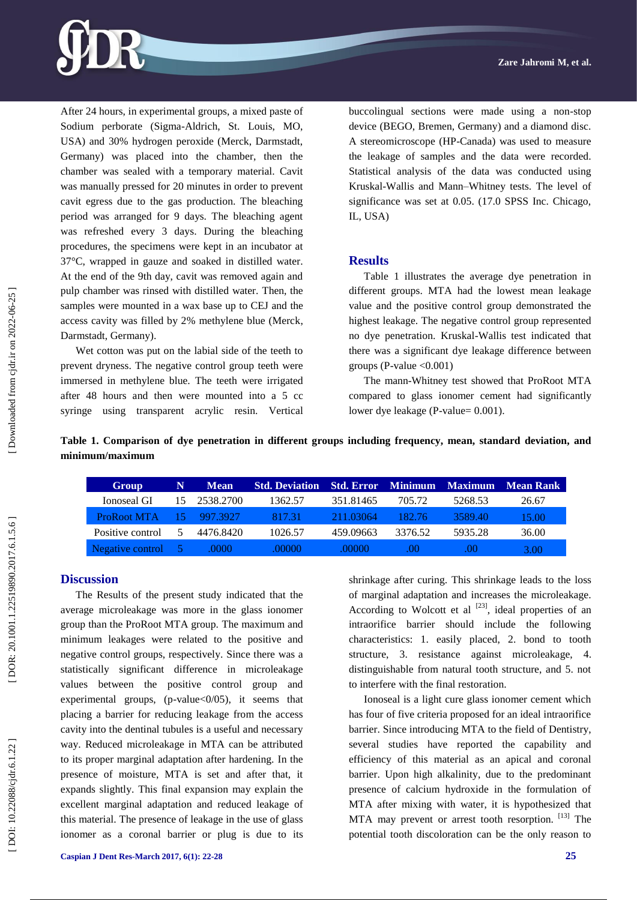

After 24 hours, in experimental groups, a mixed paste of Sodium perborate (Sigma -Aldrich, St. Louis, MO, USA) and 30% hydrogen peroxide (Merck, Darmstadt, Germany) was placed into the chamber, then the chamber was sealed with a temporary material. Cavit was manually pressed for 20 minutes in order to prevent cavit egress due to the gas production. The bleaching period was arranged for 9 days. The bleaching agent was refreshed every 3 days. During the bleaching procedures, the specimens were kept in an incubator at 37°C, wrapped in gauze and soaked in distilled water. At the end of the 9th day, cavit was removed again and pulp chamber was rinsed with distilled water. Then, the samples were mounted in a wax base up to CEJ and the access cavity was filled by 2% methylene blue (Merck, Darmstadt, Germany).

Wet cotton was put on the labial side of the teeth to prevent dryness. The negative control group teeth were immersed in methylene blue. The teeth were irrigated after 48 hours and then were mounted into a 5 cc syringe using transparent acrylic resin. Vertical

buccolingual sections were made using a non -stop device (BEGO, Bremen, Germany) and a diamond disc. A stereomicroscope (HP -Canada) was used to measure the leakage of samples and the data were recorded. Statistical analysis of the data was conducted using Kruskal -Wallis and Mann –Whitney tests. The level of significance was set at 0.05. (17.0 SPSS Inc. Chicago, IL, USA)

#### **Results**

Table 1 illustrates the average dye penetration in different groups . MTA had the lowest mean leakage value and the positive control group demonstrated the highest leakage. The negative control group represented no dye penetration. Kruskal -Wallis test indicated that there was a significant dye leakage difference between groups (P -value <0.001)

The man n -Whitney test showed that ProRoot MTA compared to glass ionomer cement had significantly lower dye leakage (P-value= 0.001).

**Table 1. Comparison of dye penetration in different groups including frequency, mean, standard deviation, and minimum/maximum**

| Group              | N                | <b>Mean</b> | <b>Std. Deviation</b> |           |         | <b>Std. Error Minimum Maximum</b> | Mean Rank |
|--------------------|------------------|-------------|-----------------------|-----------|---------|-----------------------------------|-----------|
| Ionoseal GI        | 15.              | 2538.2700   | 1362.57               | 351.81465 | 705.72  | 5268.53                           | 26.67     |
| <b>ProRoot MTA</b> | 15.              | 997.3927    | 817.31                | 211.03064 | 182.76  | 3589.40                           | 15.00     |
| Positive control   |                  | 4476.8420   | 1026.57               | 459.09663 | 3376.52 | 5935.28                           | 36.00     |
| Negative control   | $\blacksquare$ 5 | .0000       | .00000                | .00000    | .00     | .00                               | 3.00      |

Downloaded from cjdr.ir on 2022-06-25

**Discussion**

The Results of the present study indicated that the average microleakage was more in the glass ionomer group than the ProRoot MTA group. The maximum and minimum leakages were related to the positive and negative control groups, respectively. Since there was a statistically significant difference in microleakage values between the positive control group and experimental groups, (p-value<0/05), it seems that placing a barrier for reducing leakage from the access cavity into the dentinal tubules is a useful and necessary way. Reduced microleakage in MTA can be attributed to its proper marginal adaptation after hardening. In the presence of moisture, MTA is set and after that, it expands slightly. This final expansion may explain the excellent marginal adaptation and reduced leakage of this material. The presence of leakage in the use of glass ionomer as a coronal barrier or plug is due to its

shrinkage after curing. This shrinkage leads to the loss of marginal adaptation and increases the microleakage. According to Wolcott et al  $[23]$ , ideal properties of an intraorifice barrier should include the following characteristics: 1. easily placed, 2. bond to tooth structure, 3. resistance against microleakage, 4. distinguishable from natural tooth structure, and 5. not to interfere with the final restoration.

Ionoseal is a light cure glass ionomer cement which has four of five criteria proposed for an ideal intraorifice barrier. Since introducing MTA to the field of Dentistry, several studies have reported the capability and efficiency of this material as an apical and coronal barrier. Upon high alkalinity, due to the predominant presence of calcium hydroxide in the formulation of MTA after mixing with water, it is hypothesized that MTA may prevent or arrest tooth resorption. [13] The potential tooth discoloration can be the only reason to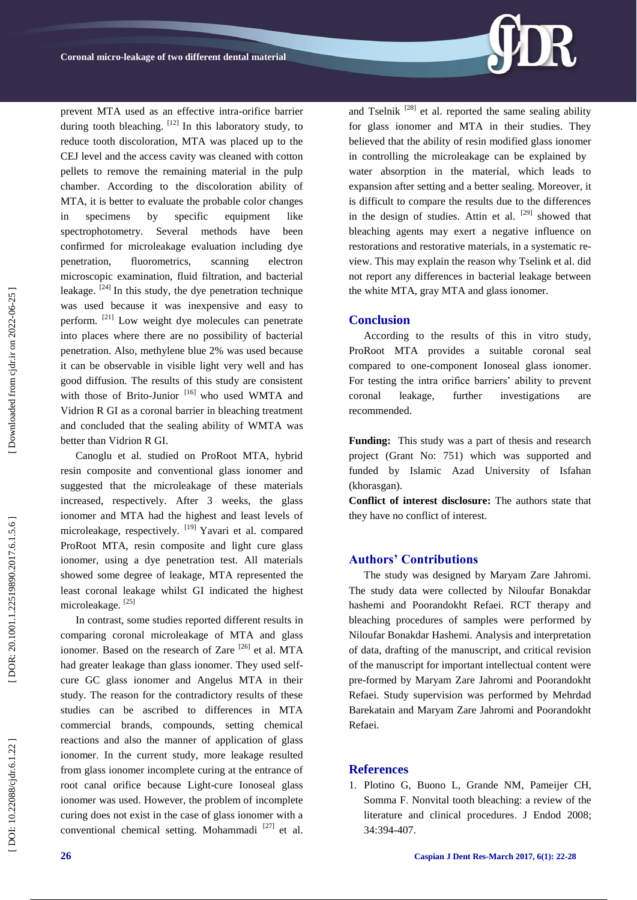prevent MTA used as an effective intra -orifice barrier during tooth bleaching.  $[12]$  In this laboratory study, to reduce tooth discoloration, MTA was placed up to the CEJ level and the access cavity was cleaned with cotton pellets to remove the remaining material in the pulp chamber. According to the discoloration ability of MTA, it is better to evaluate the probable color changes in specimens by specific equipment like spectrophotometry. Several methods have been confirmed for microleakage evaluation including dye penetration, fluorometrics, scanning electron microscopic examination, fluid filtration, and bacterial leakage.  $[24]$  In this study, the dye penetration technique was used because it was inexpensive and easy to perform. [21] Low weight dye molecules can penetrate into places where there are no possibility of bacterial penetration. Also, methylene blue 2% was used because it can be observable in visible light very well and has good diffusion. The results of this study are consistent with those of Brito-Junior<sup>[16]</sup> who used WMTA and Vidrion R GI as a coronal barrier in bleaching treatment and concluded that the sealing ability of WMTA was better than Vidrion R GI.

Canoglu et al. studied on ProRoot MTA, hybrid resin composite and conventional glass ionomer and suggested that the microleakage of these materials increased, respectively. After 3 weeks, the glass ionomer and MTA had the highest and least levels of microleakage, respectively. [19] Yavari et al. compared ProRoot MTA, resin composite and light cure glass ionomer, using a dye penetration test. All materials showed some degree of leakage, MTA represented the least coronal leakage whilst GI indicated the highest microleakage.<sup>[25]</sup>

In contrast, some studies reported different results in comparing coronal microleakage of MTA and glass ionomer. Based on the research of Zare  $^{[26]}$  et al. MTA had greater leakage than glass ionomer. They used selfcure GC glass ionomer and Angelus MTA in their study. The reason for the contradictory results of these studies can be ascribed to differences in MTA commercial brands, compounds, setting chemical reactions and also the manner of application of glass ionomer. In the current study, more leakage resulted from glass ionomer incomplete curing at the entrance of root canal orifice because Light -cure Ionoseal glass ionomer was used. However, the problem of incomplete curing does not exist in the case of glass ionomer with a conventional chemical setting. Mohammadi  $[27]$  et al.

and Tselnik  $^{[28]}$  et al. reported the same sealing ability for glass ionomer and MTA in their studies. They believed that the ability of resin modified glass ionomer in controlling the microleakage can be explained by water absorption in the material, which leads to expansion after setting and a better sealing. Moreover, it is difficult to compare the results due to the differences in the design of studies. Attin et al.  $[29]$  showed that bleaching agents may exert a negative influence on restorations and restorative materials, in a systematic re view. This may explain the reason why Tselink et al. did not report any differences in bacterial leakage between the white MTA, gray MTA and glass ionomer.

#### **Conclusion**

According to the results of this in vitro study, ProRoot MTA provides a suitable coronal seal compared to one -component Ionoseal glass ionomer . For testing the intra orifice barriers' ability to prevent coronal leakage, further investigations are recommended .

**Funding:** This study was a part of thesis and research project (Grant No: 751) which was supported and funded by Islamic Azad University of Isfahan (khorasgan).

**Conflict of interest disclosure:** The authors state that they have no conflict of interest.

### **Authors' Contributions**

The study was designed by Maryam Zare Jahromi. The study data were collected by Niloufar Bonakdar hashemi and Poorandokht Refaei. RCT therapy and bleaching procedures of samples were performed by Niloufar Bonakdar Hashemi. Analysis and interpretation of data, drafting of the manuscript, and critical revision of the manuscript for important intellectual content were pre -formed by Maryam Zare Jahromi and Poorandokht Refaei. Study supervision was performed by Mehrdad Barekatain and Maryam Zare Jahromi and Poorandokht Refaei.

### **References**

1. [Plotino G,](https://www.ncbi.nlm.nih.gov/pubmed/?term=Plotino%20G%5BAuthor%5D&cauthor=true&cauthor_uid=18358884) [Buono L,](https://www.ncbi.nlm.nih.gov/pubmed/?term=Buono%20L%5BAuthor%5D&cauthor=true&cauthor_uid=18358884) [Grande NM,](https://www.ncbi.nlm.nih.gov/pubmed/?term=Grande%20NM%5BAuthor%5D&cauthor=true&cauthor_uid=18358884) [Pameijer CH,](https://www.ncbi.nlm.nih.gov/pubmed/?term=Pameijer%20CH%5BAuthor%5D&cauthor=true&cauthor_uid=18358884)  [Somma F](https://www.ncbi.nlm.nih.gov/pubmed/?term=Somma%20F%5BAuthor%5D&cauthor=true&cauthor_uid=18358884) . Nonvital tooth bleaching: a review of the literature and clinical procedures . [J Endod](http://www.ncbi.nlm.nih.gov/pubmed/18358884) 2008; 34:394 -407.

DOI: 10.22088/cjdr.6.1.22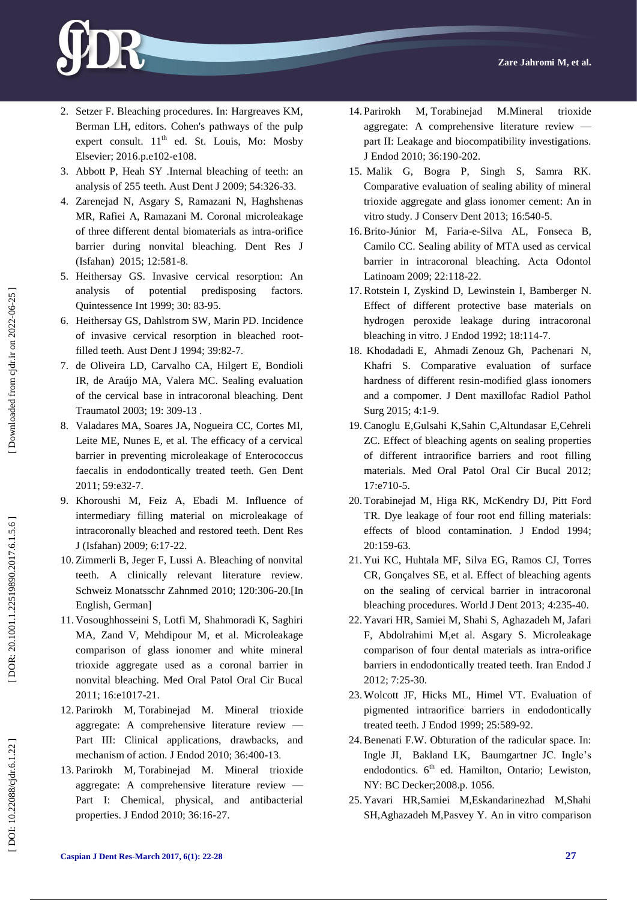- 2 . Setzer F. Bleaching procedures. In: Hargreaves KM, Berman LH, editors. Cohen's pathways of the pulp expert consult.  $11<sup>th</sup>$  ed. St. Louis, Mo: Mosby Elsevier; 2016.p.e102 -e108.
- 3 . [Abbott P,](https://www.ncbi.nlm.nih.gov/pubmed/?term=Abbott%20P%5BAuthor%5D&cauthor=true&cauthor_uid=20415931) [Heah SY](https://www.ncbi.nlm.nih.gov/pubmed/?term=Heah%20SY%5BAuthor%5D&cauthor=true&cauthor_uid=20415931) .Internal bleaching of teeth: an analysis of 255 teeth. [Aust Dent J](http://www.ncbi.nlm.nih.gov/pubmed/?term=Internal+bleaching+of+teeth%3A+an+analysis+of+255+teeth) 2009; 54:326 -33 .
- 4 . [Zarenejad N,](https://www.ncbi.nlm.nih.gov/pubmed/?term=Zarenejad%20N%5BAuthor%5D&cauthor=true&cauthor_uid=26759596) [Asgary S,](https://www.ncbi.nlm.nih.gov/pubmed/?term=Asgary%20S%5BAuthor%5D&cauthor=true&cauthor_uid=26759596) [Ramazani N,](https://www.ncbi.nlm.nih.gov/pubmed/?term=Ramazani%20N%5BAuthor%5D&cauthor=true&cauthor_uid=26759596) [Haghshenas](https://www.ncbi.nlm.nih.gov/pubmed/?term=Haghshenas%20MR%5BAuthor%5D&cauthor=true&cauthor_uid=26759596)  [MR,](https://www.ncbi.nlm.nih.gov/pubmed/?term=Haghshenas%20MR%5BAuthor%5D&cauthor=true&cauthor_uid=26759596) [Rafiei A,](https://www.ncbi.nlm.nih.gov/pubmed/?term=Rafiei%20A%5BAuthor%5D&cauthor=true&cauthor_uid=26759596) [Ramazani M.](https://www.ncbi.nlm.nih.gov/pubmed/?term=Ramazani%20M%5BAuthor%5D&cauthor=true&cauthor_uid=26759596) Coronal microleakage of three different dental biomaterials as intra -orifice barrier during nonvital bleaching. [Dent Res J](http://www.ncbi.nlm.nih.gov/pubmed/?term=Coronal+microleakage+of+three+different+dental+biomaterials+as+intra-orifi+ce+barrier+during+nonvital+bleaching)  [\(Isfahan\)](http://www.ncbi.nlm.nih.gov/pubmed/?term=Coronal+microleakage+of+three+different+dental+biomaterials+as+intra-orifi+ce+barrier+during+nonvital+bleaching) 2015; 12:581 -8.
- 5 . [Heithersay GS.](https://www.ncbi.nlm.nih.gov/pubmed/?term=Heithersay%20GS%5BAuthor%5D&cauthor=true&cauthor_uid=10356560) Invasive cervical resorption: An analysis of potential predisposing factors. Quintessence Int 1999; 30: 83 -95.
- 6 . [Heithersay GS,](https://www.ncbi.nlm.nih.gov/pubmed/?term=Heithersay%20GS%5BAuthor%5D&cauthor=true&cauthor_uid=8018064) [Dahlstrom SW,](https://www.ncbi.nlm.nih.gov/pubmed/?term=Dahlstrom%20SW%5BAuthor%5D&cauthor=true&cauthor_uid=8018064) [Marin PD.](https://www.ncbi.nlm.nih.gov/pubmed/?term=Marin%20PD%5BAuthor%5D&cauthor=true&cauthor_uid=8018064) Incidence of invasive cervical resorption in bleached root filled teeth. Aust Dent J 1994; 39:82-7.
- 7 . [de Oliveira LD,](https://www.ncbi.nlm.nih.gov/pubmed/?term=de%20Oliveira%20LD%5BAuthor%5D&cauthor=true&cauthor_uid=15022998) [Carvalho CA,](https://www.ncbi.nlm.nih.gov/pubmed/?term=Carvalho%20CA%5BAuthor%5D&cauthor=true&cauthor_uid=15022998) [Hilgert E,](https://www.ncbi.nlm.nih.gov/pubmed/?term=Hilgert%20E%5BAuthor%5D&cauthor=true&cauthor_uid=15022998) [Bondioli](https://www.ncbi.nlm.nih.gov/pubmed/?term=Bondioli%20IR%5BAuthor%5D&cauthor=true&cauthor_uid=15022998)  [IR,](https://www.ncbi.nlm.nih.gov/pubmed/?term=Bondioli%20IR%5BAuthor%5D&cauthor=true&cauthor_uid=15022998) [de Araújo MA,](https://www.ncbi.nlm.nih.gov/pubmed/?term=de%20Ara%C3%BAjo%20MA%5BAuthor%5D&cauthor=true&cauthor_uid=15022998) [Valera MC.](https://www.ncbi.nlm.nih.gov/pubmed/?term=Valera%20MC%5BAuthor%5D&cauthor=true&cauthor_uid=15022998) Sealing evaluation of the cervical base in intracoronal bleaching. Dent Traumatol 2003; 19: 309 -13 .
- 8 . Valadares MA, Soares JA, Nogueira CC, Cortes MI, Leite ME, Nunes E, et al. The efficacy of a cervical barrier in preventing microleakage of Enterococcus faecalis in endodontically treated teeth. Gen Dent 2011; 59:e32 -7.
- 9 . [Khoroushi M,](https://www.ncbi.nlm.nih.gov/pubmed/?term=Khoroushi%20M%5BAuthor%5D&cauthor=true&cauthor_uid=21528025) [Feiz A,](https://www.ncbi.nlm.nih.gov/pubmed/?term=Feiz%20A%5BAuthor%5D&cauthor=true&cauthor_uid=21528025) [Ebadi M.](https://www.ncbi.nlm.nih.gov/pubmed/?term=Ebadi%20M%5BAuthor%5D&cauthor=true&cauthor_uid=21528025) Influence of intermediary filling material on microleakage of intracoronally bleached and restored teeth. Dent Res J (Isfahan) 2009; 6:17 -22.
- 10 . [Zimmerli B,](https://www.ncbi.nlm.nih.gov/pubmed/?term=Zimmerli%20B%5BAuthor%5D&cauthor=true&cauthor_uid=20514558) [Jeger F,](https://www.ncbi.nlm.nih.gov/pubmed/?term=Jeger%20F%5BAuthor%5D&cauthor=true&cauthor_uid=20514558) [Lussi A.](https://www.ncbi.nlm.nih.gov/pubmed/?term=Lussi%20A%5BAuthor%5D&cauthor=true&cauthor_uid=20514558) Bleaching of nonvital teeth. A clinically relevant literature review. Schweiz Monatsschr Zahnmed 2010; 120:306 -20.[In English, German]
- 11 . [Vosoughhosseini S,](https://www.ncbi.nlm.nih.gov/pubmed/?term=Vosoughhosseini%20S%5BAuthor%5D&cauthor=true&cauthor_uid=21743399) [Lotfi M,](https://www.ncbi.nlm.nih.gov/pubmed/?term=Lotfi%20M%5BAuthor%5D&cauthor=true&cauthor_uid=21743399) [Shahmoradi K,](https://www.ncbi.nlm.nih.gov/pubmed/?term=Shahmoradi%20K%5BAuthor%5D&cauthor=true&cauthor_uid=21743399) [Saghiri](https://www.ncbi.nlm.nih.gov/pubmed/?term=Saghiri%20MA%5BAuthor%5D&cauthor=true&cauthor_uid=21743399)  [MA,](https://www.ncbi.nlm.nih.gov/pubmed/?term=Saghiri%20MA%5BAuthor%5D&cauthor=true&cauthor_uid=21743399) [Zand V,](https://www.ncbi.nlm.nih.gov/pubmed/?term=Zand%20V%5BAuthor%5D&cauthor=true&cauthor_uid=21743399) [Mehdipour M,](https://www.ncbi.nlm.nih.gov/pubmed/?term=Mehdipour%20M%5BAuthor%5D&cauthor=true&cauthor_uid=21743399) et al. Microleakage comparison of glass ionomer and white mineral trioxide aggregate used as a coronal barrier in nonvital bleaching. Med Oral Patol Oral Cir Bucal 2011; 16:e1017 -21.
- 12 . [Parirokh M](https://www.ncbi.nlm.nih.gov/pubmed/?term=Parirokh%20M%5BAuthor%5D&cauthor=true&cauthor_uid=20171353) , [Torabinejad M.](https://www.ncbi.nlm.nih.gov/pubmed/?term=Torabinejad%20M%5BAuthor%5D&cauthor=true&cauthor_uid=20171353) Mineral trioxide aggregate: A comprehensive literature review — Part III: Clinical applications, drawbacks, and mechanism of action. J Endod 2010; 36:400 -13 .
- 13 . [Parirokh M](https://www.ncbi.nlm.nih.gov/pubmed/?term=Parirokh%20M%5BAuthor%5D&cauthor=true&cauthor_uid=20003930) , [Torabinejad M.](https://www.ncbi.nlm.nih.gov/pubmed/?term=Torabinejad%20M%5BAuthor%5D&cauthor=true&cauthor_uid=20003930) Mineral trioxide aggregate: A comprehensive literature review — Part I: Chemical, physical, and antibacterial properties. J Endod 2010; 36:16 -27.
- 14 . [Parirokh M](https://www.ncbi.nlm.nih.gov/pubmed/?term=Parirokh%20M%5BAuthor%5D&cauthor=true&cauthor_uid=20003930) , [Torabinejad M.](https://www.ncbi.nlm.nih.gov/pubmed/?term=Torabinejad%20M%5BAuthor%5D&cauthor=true&cauthor_uid=20003930)Mineral trioxide aggregate: A comprehensive literature review part II: Leakage and biocompatibility investigations. J Endod 2010; 36:190 -202.
- 15 . Malik G, Bogra P, Singh S, Samra RK. Comparative evaluation of sealing ability of mineral trioxide aggregate and glass ionomer cemen[t: An in](https://www.ncbi.nlm.nih.gov/pubmed/24347890)  [vitro study.](https://www.ncbi.nlm.nih.gov/pubmed/24347890) J Conserv Dent 2013; 16:540-5.
- 16 .Brito [-Júnior M,](https://www.ncbi.nlm.nih.gov/pubmed/?term=Brito-J%C3%BAnior%20M%5BAuthor%5D&cauthor=true&cauthor_uid=19839488) Faria e [-Silva AL,](https://www.ncbi.nlm.nih.gov/pubmed/?term=Faria-e-Silva%20AL%5BAuthor%5D&cauthor=true&cauthor_uid=19839488) [Fonseca B,](https://www.ncbi.nlm.nih.gov/pubmed/?term=Fonseca%20B%5BAuthor%5D&cauthor=true&cauthor_uid=19839488)  [Camilo CC.](https://www.ncbi.nlm.nih.gov/pubmed/?term=Camilo%20CC%5BAuthor%5D&cauthor=true&cauthor_uid=19839488) Sealing ability of MTA used as cervical barrier in intracoronal bleaching. Acta Odontol Latinoam 2009; 22:118 -22.
- 17 [.Rotstein I,](https://www.ncbi.nlm.nih.gov/pubmed/?term=Rotstein%20I%5BAuthor%5D&cauthor=true&cauthor_uid=19186431) [Zyskind D,](https://www.ncbi.nlm.nih.gov/pubmed/?term=Zyskind%20D%5BAuthor%5D&cauthor=true&cauthor_uid=19186431) [Lewinstein I,](https://www.ncbi.nlm.nih.gov/pubmed/?term=Lewinstein%20I%5BAuthor%5D&cauthor=true&cauthor_uid=19186431) [Bamberger N.](https://www.ncbi.nlm.nih.gov/pubmed/?term=Bamberger%20N%5BAuthor%5D&cauthor=true&cauthor_uid=19186431)  Effect of different protective base materials on hydrogen peroxide leakage during intracoronal bleaching in vitro. J Endod 1992; 18:114 -7.
- 18 . [Khodadadi](http://3dj.gums.ac.ir/search.php?slc_lang=en&sid=1&auth=Khodadadi) E, [Ahmadi Zenouz](http://3dj.gums.ac.ir/search.php?slc_lang=en&sid=1&auth=GhAhmadi+Zenouz) Gh, [Pachenari](http://3dj.gums.ac.ir/search.php?slc_lang=en&sid=1&auth=Pachenari) N, [Khafri](http://3dj.gums.ac.ir/search.php?slc_lang=en&sid=1&auth=Khafri) S. [Comparative evaluation of surface](http://3dj.gums.ac.ir/files/site1/user_files_551bf5/eng/admin-A-10-1-79-05baa01.pdf)  [hardness of different resin](http://3dj.gums.ac.ir/files/site1/user_files_551bf5/eng/admin-A-10-1-79-05baa01.pdf) -modified glass ionomers [and a compomer.](http://3dj.gums.ac.ir/files/site1/user_files_551bf5/eng/admin-A-10-1-79-05baa01.pdf) J Dent maxillofac Radiol Pathol Surg 2015; 4:1 -9.
- 19 .Canoglu E,Gulsahi K,Sahin C,Altundasar E,Cehreli ZC. Effect of bleaching agents on sealing properties of different intraorifice barriers and root filling materials. Med Oral Patol Oral Cir Bucal 2012; 17:e710 -5.
- 20 . [Torabinejad M,](https://www.ncbi.nlm.nih.gov/pubmed/?term=Torabinejad%20M%5BAuthor%5D&cauthor=true&cauthor_uid=8035153) [Higa RK,](https://www.ncbi.nlm.nih.gov/pubmed/?term=Higa%20RK%5BAuthor%5D&cauthor=true&cauthor_uid=8035153) [McKendry DJ,](https://www.ncbi.nlm.nih.gov/pubmed/?term=McKendry%20DJ%5BAuthor%5D&cauthor=true&cauthor_uid=8035153) [Pitt Ford](https://www.ncbi.nlm.nih.gov/pubmed/?term=Pitt%20Ford%20TR%5BAuthor%5D&cauthor=true&cauthor_uid=8035153)  [TR.](https://www.ncbi.nlm.nih.gov/pubmed/?term=Pitt%20Ford%20TR%5BAuthor%5D&cauthor=true&cauthor_uid=8035153) Dye leakage of four root end filling materials: effects of blood contamination. J Endod 1994; 20:159 -63.
- 21 . Yui KC, Huhtala MF, Silva EG, Ramos CJ, Torres CR, Gonçalves SE, et al. Effect of bleaching agents on the sealing of cervical barrier in intracoronal bleaching procedures. World J Dent 2013; 4:235 -40.
- 22. Yavari HR, Samiei M, Shahi S, Aghazadeh M, Jafari F, [Abdolrahimi M,e](https://www.ncbi.nlm.nih.gov/pubmed/?term=Abdolrahimi%20M%5BAuthor%5D&cauthor=true&cauthor_uid=23060910)t al. [Asgary S.](https://www.ncbi.nlm.nih.gov/pubmed/?term=Asgary%20S%5BAuthor%5D&cauthor=true&cauthor_uid=23060910) Microleakage comparison of four dental materials as intra -orifice barriers in endodontically treated teeth. [Iran Endod J](https://www.ncbi.nlm.nih.gov/pubmed/?term=Microleakage+comparison+of+four+dental+materials+as+intra-orifice+barriers+in+endodontically+treated+teeth) 2012; 7:25 -30.
- 23 . [Wolcott JF,](https://www.ncbi.nlm.nih.gov/pubmed/?term=Wolcott%20JF%5BAuthor%5D&cauthor=true&cauthor_uid=10687533) [Hicks ML,](https://www.ncbi.nlm.nih.gov/pubmed/?term=Hicks%20ML%5BAuthor%5D&cauthor=true&cauthor_uid=10687533) [Himel VT](https://www.ncbi.nlm.nih.gov/pubmed/?term=Himel%20VT%5BAuthor%5D&cauthor=true&cauthor_uid=10687533) . Evaluation of pigmented intraorifice barriers in endodontically treated teeth. [J Endod](https://www.ncbi.nlm.nih.gov/pubmed/10687533) 1999; 25:589 -92.
- 24 .Benenati F.W. Obturation of the radicular space. In[:](http://www.amazon.com/s/ref=dp_byline_sr_book_1?ie=UTF8&field-author=John+I.+Ingle&search-alias=books&text=John+I.+Ingle&sort=relevancerank) [Ingle](http://www.amazon.com/s/ref=dp_byline_sr_book_1?ie=UTF8&field-author=John+I.+Ingle&search-alias=books&text=John+I.+Ingle&sort=relevancerank) JI, [Bakland](http://www.amazon.com/s/ref=dp_byline_sr_book_2?ie=UTF8&field-author=Leif+K.+Bakland&search-alias=books&text=Leif+K.+Bakland&sort=relevancerank) LK, [Baumgartner](http://www.amazon.com/s/ref=dp_byline_sr_book_3?ie=UTF8&field-author=J.+Craig+Baumgartner&search-alias=books&text=J.+Craig+Baumgartner&sort=relevancerank) JC. Ingle's endodontics.  $6<sup>th</sup>$  ed. Hamilton, Ontario; Lewiston, NY: BC Decker;2008.p. 1056.
- 25 . Yavari HR,Samiei M,Eskandarinezhad M,Shahi SH,Aghazadeh M,Pasvey Y. An in vitro comparison